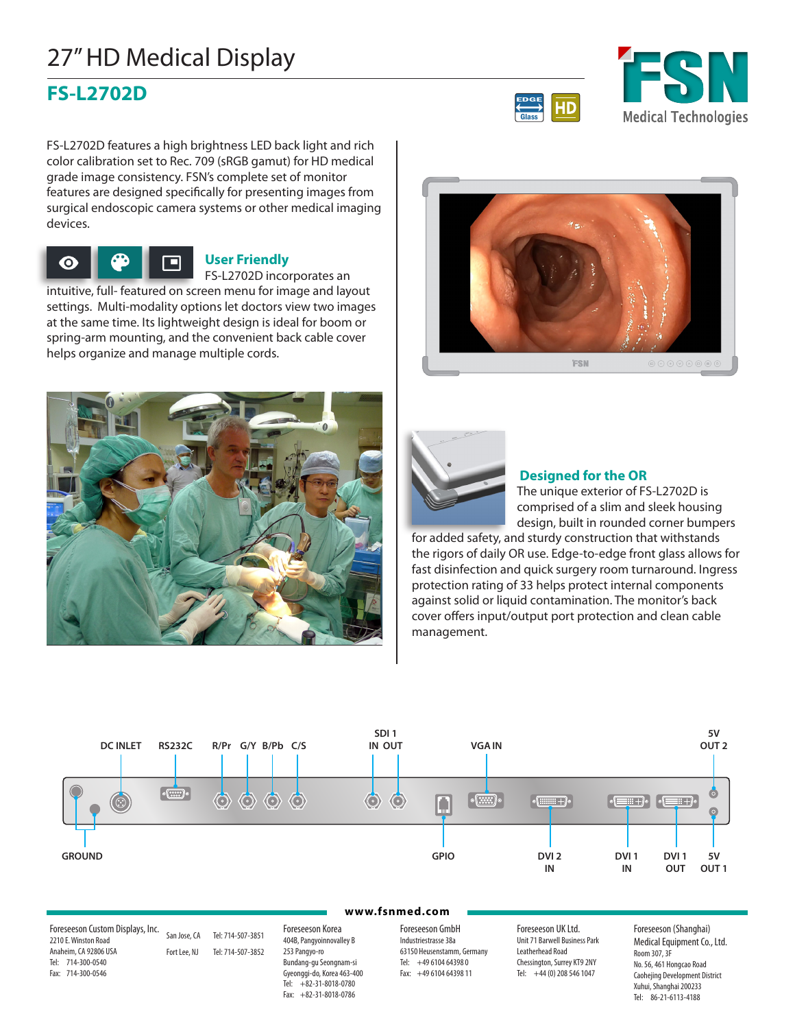# 27" HD Medical Display

## **FS-L2702D**

 $HD$ EDGE



FS-L2702D features a high brightness LED back light and rich color calibration set to Rec. 709 (sRGB gamut) for HD medical grade image consistency. FSN's complete set of monitor features are designed specifically for presenting images from surgical endoscopic camera systems or other medical imaging devices.



intuitive, full- featured on screen menu for image and layout settings. Multi-modality options let doctors view two images at the same time. Its lightweight design is ideal for boom or  $\Box$ spring-arm mounting, and the convenient back cable cover helps organize and manage multiple cords.







### **Designed for the OR**

The unique exterior of FS-L2702D is comprised of a slim and sleek housing design, built in rounded corner bumpers

for added safety, and sturdy construction that withstands the rigors of daily OR use. Edge-to-edge front glass allows for fast disinfection and quick surgery room turnaround. Ingress protection rating of 33 helps protect internal components against solid or liquid contamination. The monitor's back cover offers input/output port protection and clean cable management.



#### **www.fsnmed.com**

Foreseeson Custom Displays, Inc. 2210 E. Winston Road Anaheim, CA 92806 USA Tel: 714-300-0540 Fax: 714-300-0546

San Jose, CA Tel: 714-507-3851 Fort Lee, NJ Tel: 714-507-3852

Foreseeson Korea 404B, Pangyoinnovalley B 253 Pangyo-ro Bundang-gu Seongnam-si Gyeonggi-do, Korea 463-400 Tel: +82-31-8018-0780 Fax: +82-31-8018-0786

Foreseeson GmbH Industriestrasse 38a 63150 Heusenstamm, Germany Tel: +49 6104 64398 0 Fax: +49 6104 64398 11

Foreseeson UK Ltd. Unit 71 Barwell Business Park Leatherhead Road Chessington, Surrey KT9 2NY Tel: +44 (0) 208 546 1047

Foreseeson (Shanghai) Medical Equipment Co., Ltd. Room 307, 3F No. 56, 461 Hongcao Road Caohejing Development District Xuhui, Shanghai 200233 Tel: 86-21-6113-4188